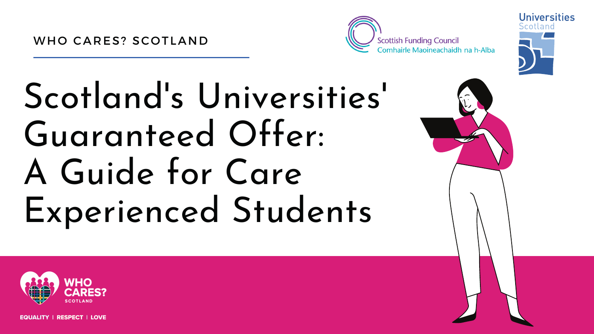

## Scotland's Universities' Guaranteed Offer: A Guide for Care Experienced Students



**RESPECT | LOVE** 

**Scottish Funding Council** Comhairle Maoineachaidh na h-Alba



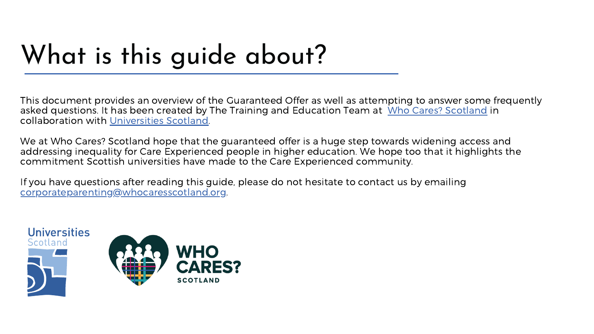This document provides an overview of the Guaranteed Offer as well as attempting to answer some frequently asked questions. It has been created by The Training and Education Team at Who Cares? [Scotland](https://www.whocaresscotland.org/) in collaboration with [Universities](https://www.universities-scotland.ac.uk/) Scotland.

We at Who Cares? Scotland hope that the guaranteed offer is a huge step towards widening access and addressing inequality for Care Experienced people in higher education. We hope too that it highlights the commitment Scottish universities have made to the Care Experienced community.

If you have questions after reading this guide, please do not hesitate to contact us by emailing [corporateparenting@whocaresscotland.org.](mailto:corporateparenting@whocaresscotland.org)

![](_page_1_Picture_4.jpeg)

## What is this guide about?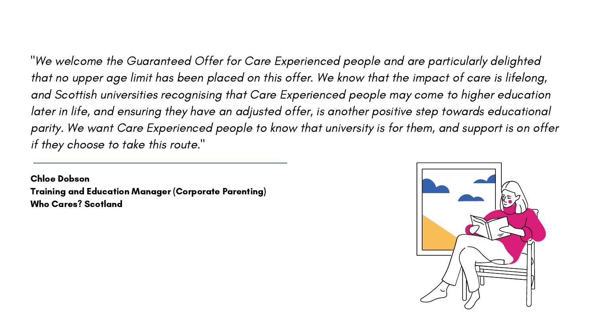"We welcome the Guaranteed Offer for Care Experienced people and are particularly delighted that no upper age limit has been placed on this offer. We know that the impact of care is lifelong, and Scottish universities recognising that Care Experienced people may come to higher education later in life, and ensuring they have an adjusted offer, is another positive step towards educational parity. We want Care Experienced people to know that university is for them, and support is on offer if they choose to take this route."

Chloe Dobson Training and Education Manager (Corporate Parenting) Who Cares? Scotland

![](_page_2_Picture_2.jpeg)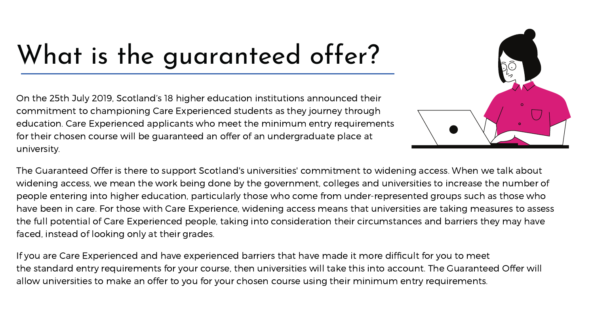On the 25th July 2019, Scotland's 18 higher education institutions announced their commitment to championing Care Experienced students as they journey through education. Care Experienced applicants who meet the minimum entry requirements for their chosen course will be guaranteed an offer of an undergraduate place at university.

The Guaranteed Offer is there to support Scotland's universities' commitment to widening access. When we talk about widening access, we mean the work being done by the government, colleges and universities to increase the number of people entering into higher education, particularly those who come from under-represented groups such as those who have been in care. For those with Care Experience, widening access means that universities are taking measures to assess the full potential of Care Experienced people, taking into consideration their circumstances and barriers they may have faced, instead of looking only at their grades.

If you are Care Experienced and have experienced barriers that have made it more difficult for you to meet the standard entry requirements for your course, then universities will take this into account. The Guaranteed Offer will allow universities to make an offer to you for your chosen course using their minimum entry requirements.

![](_page_3_Picture_4.jpeg)

## What is the guaranteed offer?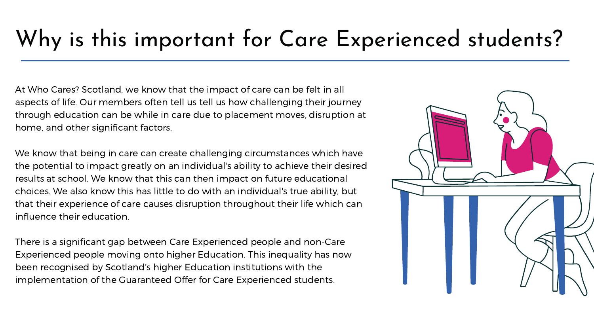### Why is this important for Care Experienced students?

At Who Cares? Scotland, we know that the impact of care can be felt in all aspects of life. Our members often tell us tell us how challenging their journey through education can be while in care due to placement moves, disruption at home, and other significant factors.

We know that being in care can create challenging circumstances which have the potential to impact greatly on an individual's ability to achieve their desired results at school. We know that this can then impact on future educational choices. We also know this has little to do with an individual's true ability, but that their experience of care causes disruption throughout their life which can influence their education.

There is a significant gap between Care Experienced people and non-Care Experienced people moving onto higher Education. This inequality has now been recognised by Scotland's higher Education institutions with the implementation of the Guaranteed Offer for Care Experienced students.

![](_page_4_Picture_4.jpeg)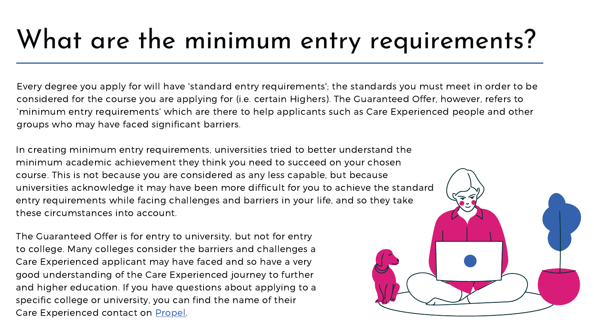In creating minimum entry requirements, universities tried to better understand the minimum academic achievement they think you need to succeed on your chosen course. This is not because you are considered as any less capable, but because universities acknowledge it may have been more difficult for you to achieve the standard entry requirements while facing challenges and barriers in your life, and so they take these circumstances into account.

The Guaranteed Offer is for entry to university, but not for entry to college. Many colleges consider the barriers and challenges a Care Experienced applicant may have faced and so have a very good understanding of the Care Experienced journey to further and higher education. If you have questions about applying to a specific college or university, you can find the name of their Care Experienced contact on **[Propel](https://propel.org.uk/Scotland/).** 

![](_page_5_Picture_5.jpeg)

### What are the minimum entry requirements?

Every degree you apply for will have 'standard entry requirements' ; the standards you must meet in order to be considered for the course you are applying for (i.e. certain Highers). The Guaranteed Offer, however, refers to 'minimum entry requirements' which are there to help applicants such as Care Experienced people and other groups who may have faced significant barriers.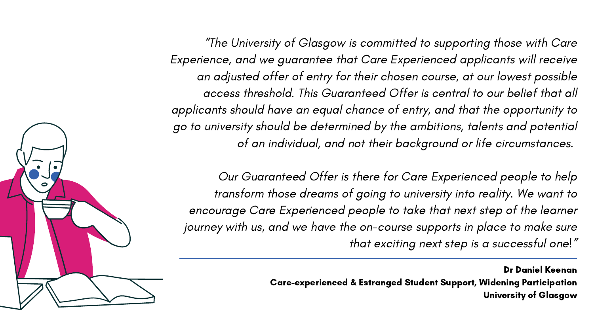"The University of Glasgow is committed to supporting those with Care Experience, and we guarantee that Care Experienced applicants will receive an adjusted offer of entry for their chosen course, at our lowest possible access threshold. This Guaranteed Offer is central to our belief that all applicants should have an equal chance of entry, and that the opportunity to go to university should be determined by the ambitions, talents and potential of an individual, and not their background or life circumstances.

Our Guaranteed Offer is there for Care Experienced people to help transform those dreams of going to university into reality. We want to encourage Care Experienced people to take that next step of the learner journey with us, and we have the on-course supports in place to make sure that exciting next step is a successful one!"

> Dr Daniel Keenan Care-experienced & Estranged Student Support, Widening Participation University of Glasgow

![](_page_6_Picture_3.jpeg)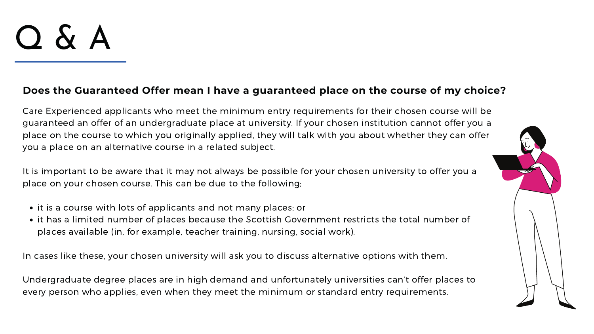- it is a course with lots of applicants and not many places; or
- it has a limited number of places because the Scottish Government restricts the total number of places available (in, for example, teacher training, nursing, social work).

Care Experienced applicants who meet the minimum entry requirements for their chosen course will be guaranteed an offer of an undergraduate place at university. If your chosen institution cannot offer you a place on the course to which you originally applied, they will talk with you about whether they can offer you a place on an alternative course in a related subject.

It is important to be aware that it may not always be possible for your chosen university to offer you a place on your chosen course. This can be due to the following;

In cases like these, your chosen university will ask you to discuss alternative options with them.

Undergraduate degree places are in high demand and unfortunately universities can't offer places to every person who applies, even when they meet the minimum or standard entry requirements.

![](_page_7_Picture_9.jpeg)

# $Q \& A$

#### **Does the Guaranteed Offer mean I have a guaranteed place on the course of my choice?**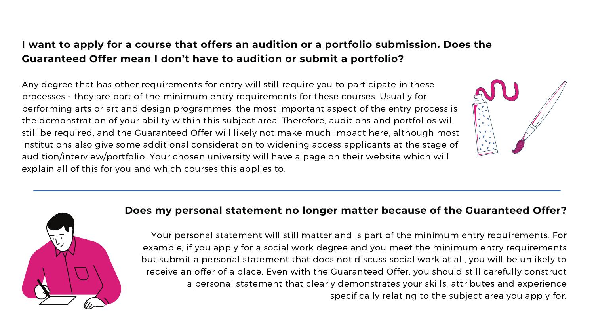Any degree that has other requirements for entry will still require you to participate in these processes - they are part of the minimum entry requirements for these courses. Usually for performing arts or art and design programmes, the most important aspect of the entry process is the demonstration of your ability within this subject area. Therefore, auditions and portfolios will still be required, and the Guaranteed Offer will likely not make much impact here, although most institutions also give some additional consideration to widening access applicants at the stage of audition/interview/portfolio. Your chosen university will have a page on their website which will explain all of this for you and which courses this applies to.

![](_page_8_Picture_2.jpeg)

Your personal statement will still matter and is part of the minimum entry requirements. For example, if you apply for a social work degree and you meet the minimum entry requirements but submit a personal statement that does not discuss social work at all, you will be unlikely to receive an offer of a place. Even with the Guaranteed Offer, you should still carefully construct a personal statement that clearly demonstrates your skills, attributes and experience specifically relating to the subject area you apply for.

![](_page_8_Picture_5.jpeg)

### **I want to apply for a course that offers an audition or a portfolio submission. Does the Guaranteed Offer mean I don't have to audition or submit a portfolio?**

#### **Does my personal statement no longer matter because of the Guaranteed Offer?**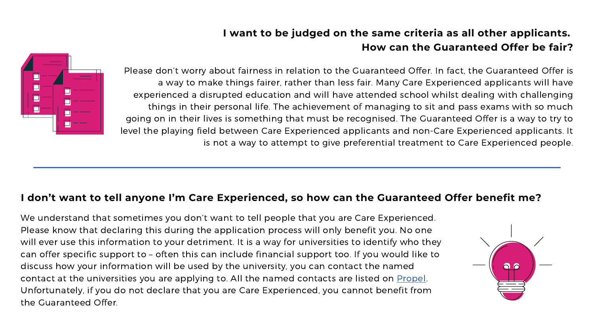Please don't worry about fairness in relation to the Guaranteed Offer. In fact, the Guaranteed Offer is a way to make things fairer, rather than less fair. Many Care Experienced applicants will have experienced a disrupted education and will have attended school whilst dealing with challenging things in their personal life. The achievement of managing to sit and pass exams with so much going on in their lives is something that must be recognised. The Guaranteed Offer is a way to try to level the playing field between Care Experienced applicants and non-Care Experienced applicants. It is not a way to attempt to give preferential treatment to Care Experienced people.

We understand that sometimes you don't want to tell people that you are Care Experienced. Please know that declaring this during the application process will only benefit you. No one will ever use this information to your detriment. It is a way for universities to identify who they can offer specific support to – often this can include financial support too. If you would like to discuss how your information will be used by the university, you can contact the named contact at the universities you are applying to. All the named contacts are listed on [Propel.](https://propel.org.uk/Scotland/) Unfortunately, if you do not declare that you are Care Experienced, you cannot benefit from the Guaranteed Offer.

![](_page_9_Picture_5.jpeg)

#### **I want to be judged on the same criteria as all other applicants. How can the Guaranteed Offer be fair?**

![](_page_9_Picture_1.jpeg)

#### **I don't want to tell anyone I'm Care Experienced, so how can the Guaranteed Offer benefit me?**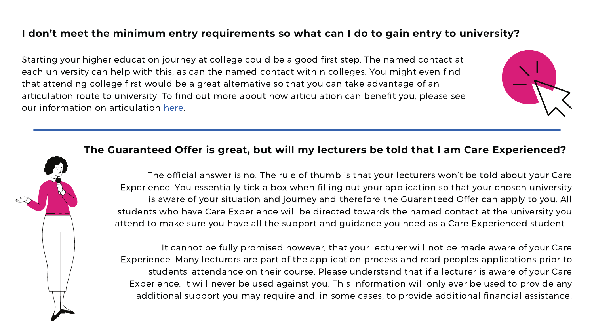Starting your higher education journey at college could be a good first step. The named contact at each university can help with this, as can the named contact within colleges. You might even find that attending college first would be a great alternative so that you can take advantage of an articulation route to university. To find out more about how articulation can benefit you, please see our information on articulation [here](https://www.corporateparenting.org.uk/learning-hub/guidance-materials/articulation-for-care-experienced-students-in-scotland/).

> The official answer is no. The rule of thumb is that your lecturers won't be told about your Care Experience. You essentially tick a box when filling out your application so that your chosen university is aware of your situation and journey and therefore the Guaranteed Offer can apply to you. All students who have Care Experience will be directed towards the named contact at the university you attend to make sure you have all the support and guidance you need as a Care Experienced student.

It cannot be fully promised however, that your lecturer will not be made aware of your Care Experience. Many lecturers are part of the application process and read peoples applications prior to students' attendance on their course. Please understand that if a lecturer is aware of your Care Experience, it will never be used against you. This information will only ever be used to provide any additional support you may require and, in some cases, to provide additional financial assistance.

![](_page_10_Picture_5.jpeg)

#### **The Guaranteed Offer is great, but will my lecturers be told that I am Care Experienced?**

#### **I don't meet the minimum entry requirements so what can I do to gain entry to university?**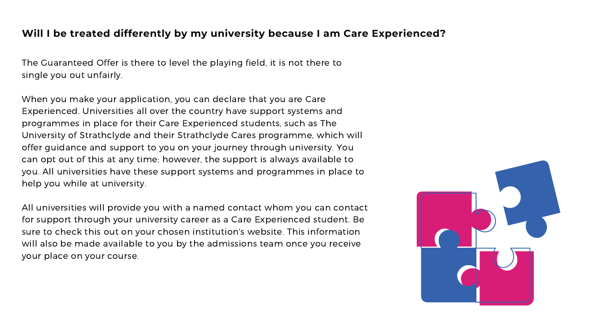The Guaranteed Offer is there to level the playing field, it is not there to single you out unfairly.

When you make your application, you can declare that you are Care Experienced. Universities all over the country have support systems and programmes in place for their Care Experienced students, such as The University of Strathclyde and their Strathclyde Cares programme, which will offer guidance and support to you on your journey through university. You can opt out of this at any time; however, the support is always available to you. All universities have these support systems and programmes in place to help you while at university.

All universities will provide you with a named contact whom you can contact for support through your university career as a Care Experienced student. Be sure to check this out on your chosen institution's website. This information will also be made available to you by the admissions team once you receive your place on your course.

![](_page_11_Picture_4.jpeg)

#### **Will I be treated differently by my university because I am Care Experienced?**